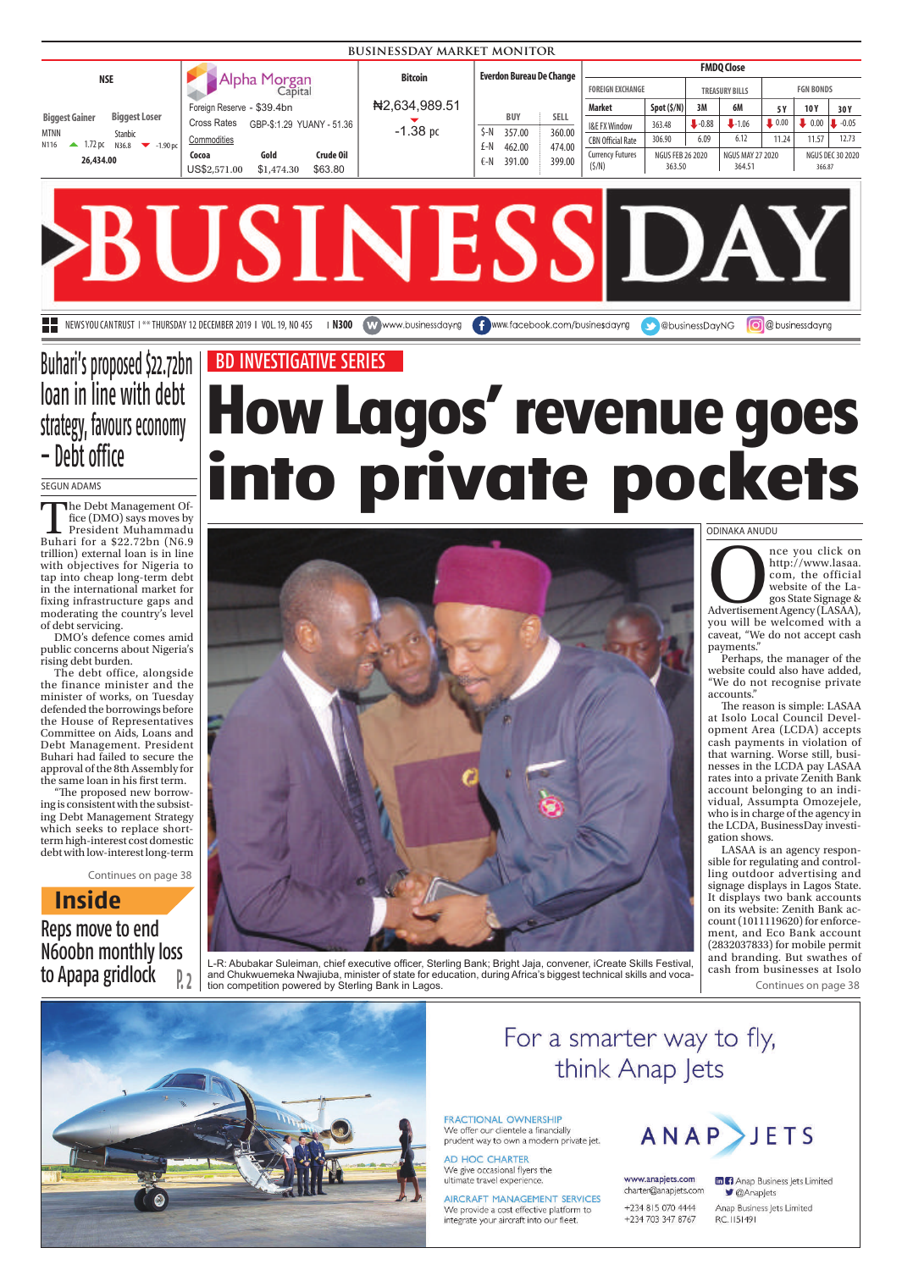| <b>BUSINESSDAY MARKET MONITOR</b>                                                                                                                    |                                                                                                                                                                     |                             |                                                                                                             |                                                                                                |                                                                     |                       |                                                     |                                     |                                                     |                                  |
|------------------------------------------------------------------------------------------------------------------------------------------------------|---------------------------------------------------------------------------------------------------------------------------------------------------------------------|-----------------------------|-------------------------------------------------------------------------------------------------------------|------------------------------------------------------------------------------------------------|---------------------------------------------------------------------|-----------------------|-----------------------------------------------------|-------------------------------------|-----------------------------------------------------|----------------------------------|
| <b>NSE</b>                                                                                                                                           | Alpha Morgan<br>Capital                                                                                                                                             | <b>Bitcoin</b>              | <b>Everdon Bureau De Change</b>                                                                             | <b>FOREIGN EXCHANGE</b>                                                                        |                                                                     |                       | <b>FMDQ Close</b><br><b>TREASURY BILLS</b>          |                                     | <b>FGN BONDS</b>                                    |                                  |
| <b>Biggest Loser</b><br><b>Biggest Gainer</b><br>MTNN<br><b>Stanbic</b><br>1.72 pc N36.8<br>N116<br>$\blacktriangleright$ -1.90 pc<br>▲<br>26,434.00 | Foreign Reserve - \$39.4bn<br><b>Cross Rates</b><br>GBP-\$:1.29 YUANY - 51.36<br>Commodities<br>Crude Oil<br>Gold<br>Cocoa<br>\$63.80<br>US\$2,571.00<br>\$1,474.30 | N2,634,989.51<br>$-1.38$ pc | <b>SELL</b><br><b>BUY</b><br>360.00<br>\$-N<br>357.00<br>474.00<br>£-N<br>462.00<br>399.00<br>€-N<br>391.00 | <b>Market</b><br>I&E FX Window<br><b>CBN Official Rate</b><br><b>Currency Futures</b><br>(5/N) | Spot (5/N)<br>363.48<br>306.90<br><b>NGUS FEB 26 2020</b><br>363.50 | 3M<br>$-0.88$<br>6.09 | 6M<br>$-1.06$<br>6.12<br>NGUS MAY 27 2020<br>364.51 | 5 Y<br>$\blacksquare$ 0.00<br>11.24 | 10Y<br>$0.00$ $\downarrow$ -0.05<br>11.57<br>366.87 | 30Y<br>12.73<br>NGUS DEC 30 2020 |
|                                                                                                                                                      | <b>STATISTICS</b>                                                                                                                                                   |                             |                                                                                                             |                                                                                                |                                                                     |                       |                                                     |                                     |                                                     |                                  |

**BUSINESS DAY NEWS YOU CAN TRUST 1 \*\* THURSDAY 12 DECEMBER 2019 | VOL.19, NO 455 | N300 WWW.businessdayng | www.facebook.com/businesdayng | @ businessDayNG | @ businessdayng** 

## Buhari's proposed \$22.72bn loan in line with debt strategy, favours economy – Debt office

#### SEGUN ADAMS

The Debt Management Office (DMO) says moves by President Muhammadu Buhari for a \$22.72bn (N6.9 trillion) external loan is in line with objectives for Nigeria to tap into cheap long-term debt in the international market for fixing infrastructure gaps and moderating the country's level of debt servicing.

DMO's defence comes amid public concerns about Nigeria's rising debt burden.

The debt office, alongside the finance minister and the minister of works, on Tuesday defended the borrowings before the House of Representatives Committee on Aids, Loans and Debt Management. President Buhari had failed to secure the approval of the 8th Assembly for the same loan in his first term.

"The proposed new borrowing is consistent with the subsisting Debt Management Strategy which seeks to replace shortterm high-interest cost domestic debt with low-interest long-term

Continues on page 38

**Inside**

### Reps move to end N600bn monthly loss to Apapa gridlock

# **How Lagos' revenue goes into private pockets** BD INVESTIGATIVE SERIES



L-R: Abubakar Suleiman, chief executive officer, Sterling Bank; Bright Jaja, convener, iCreate Skills Festival, and Chukwuemeka Nwajiuba, minister of state for education, during Africa's biggest technical skills and voca-**P. 2** and Chukwuemeka Nwajiuba, minister of state for ed tion competition powered by Sterling Bank in Lagos.

ODINAKA ANUDU

nce you click on<br>
http://www.lasaa.<br>
com, the official<br>
website of the La-<br>
gos State Signage &<br>
Advertisement Agency (LASAA), http://www.lasaa. com, the official website of the Lagos State Signage & you will be welcomed with a caveat, "We do not accept cash payments."

Perhaps, the manager of the website could also have added, "We do not recognise private accounts."

The reason is simple: LASAA at Isolo Local Council Development Area (LCDA) accepts cash payments in violation of that warning. Worse still, businesses in the LCDA pay LASAA rates into a private Zenith Bank account belonging to an individual, Assumpta Omozejele, who is in charge of the agency in the LCDA, BusinessDay investigation shows.

LASAA is an agency responsible for regulating and controlling outdoor advertising and signage displays in Lagos State. It displays two bank accounts on its website: Zenith Bank account (1011119620) for enforcement, and Eco Bank account (2832037833) for mobile permit and branding. But swathes of cash from businesses at Isolo

Continues on page 38



## For a smarter way to fly, think Anap Jets

**FRACTIONAL OWNERSHIP** We offer our clientele a financially prudent way to own a modern private jet.

AD HOC CHARTER We give occasional flyers the ultimate travel experience.

AIRCRAFT MANAGEMENT SERVICES We provide a cost effective platform to integrate your aircraft into our fleet.



www.anapjets.com charter@anapjets.com +234 815 070 4444 +234 703 347 8767

**In Fi** Anap Business Jets Limited ■ @Anapjets Anap Business Jets Limited RC.1151491